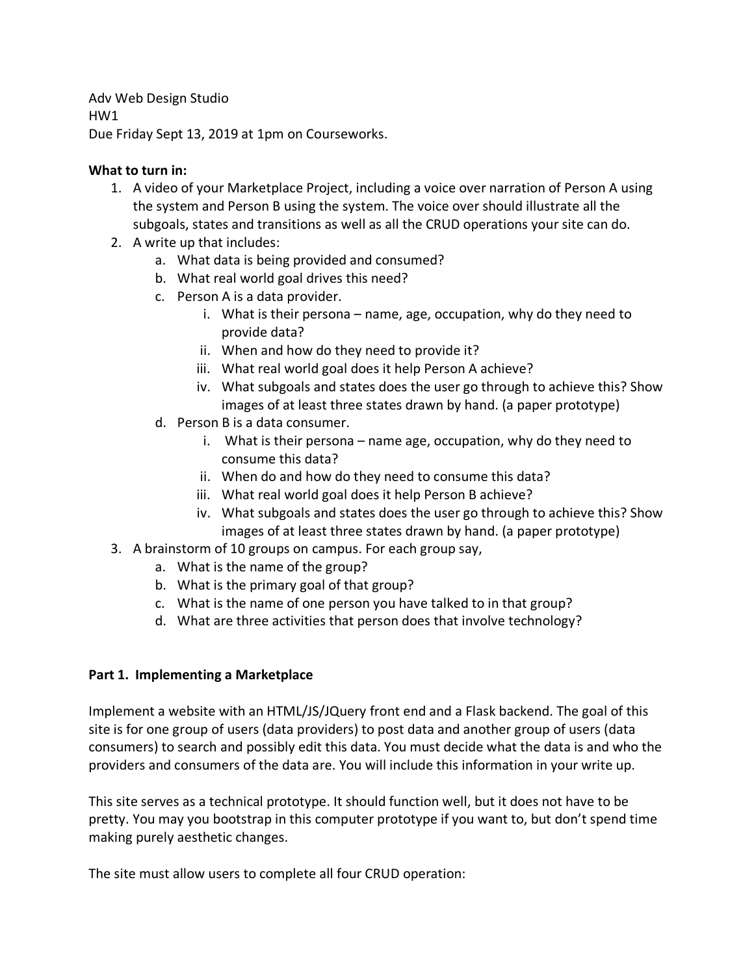Adv Web Design Studio HW1 Due Friday Sept 13, 2019 at 1pm on Courseworks.

## **What to turn in:**

- 1. A video of your Marketplace Project, including a voice over narration of Person A using the system and Person B using the system. The voice over should illustrate all the subgoals, states and transitions as well as all the CRUD operations your site can do.
- 2. A write up that includes:
	- a. What data is being provided and consumed?
	- b. What real world goal drives this need?
	- c. Person A is a data provider.
		- i. What is their persona name, age, occupation, why do they need to provide data?
		- ii. When and how do they need to provide it?
		- iii. What real world goal does it help Person A achieve?
		- iv. What subgoals and states does the user go through to achieve this? Show images of at least three states drawn by hand. (a paper prototype)
	- d. Person B is a data consumer.
		- i. What is their persona name age, occupation, why do they need to consume this data?
		- ii. When do and how do they need to consume this data?
		- iii. What real world goal does it help Person B achieve?
		- iv. What subgoals and states does the user go through to achieve this? Show images of at least three states drawn by hand. (a paper prototype)
- 3. A brainstorm of 10 groups on campus. For each group say,
	- a. What is the name of the group?
	- b. What is the primary goal of that group?
	- c. What is the name of one person you have talked to in that group?
	- d. What are three activities that person does that involve technology?

## **Part 1. Implementing a Marketplace**

Implement a website with an HTML/JS/JQuery front end and a Flask backend. The goal of this site is for one group of users (data providers) to post data and another group of users (data consumers) to search and possibly edit this data. You must decide what the data is and who the providers and consumers of the data are. You will include this information in your write up.

This site serves as a technical prototype. It should function well, but it does not have to be pretty. You may you bootstrap in this computer prototype if you want to, but don't spend time making purely aesthetic changes.

The site must allow users to complete all four CRUD operation: